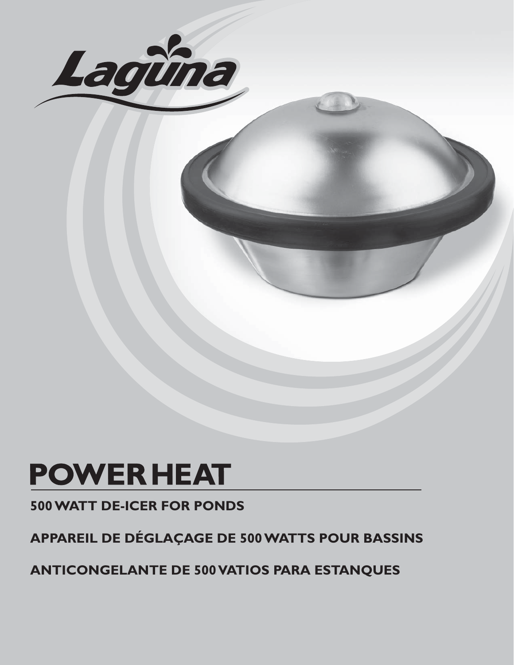

# **POWER HEAT**

**500 WATT DE-ICER FOR PONDS**

**APPAREIL DE DÉGLAÇAGE DE 500 WATTS POUR BASSINS**

**ANTICONGELANTE DE 500 VATIOS PARA ESTANQUES**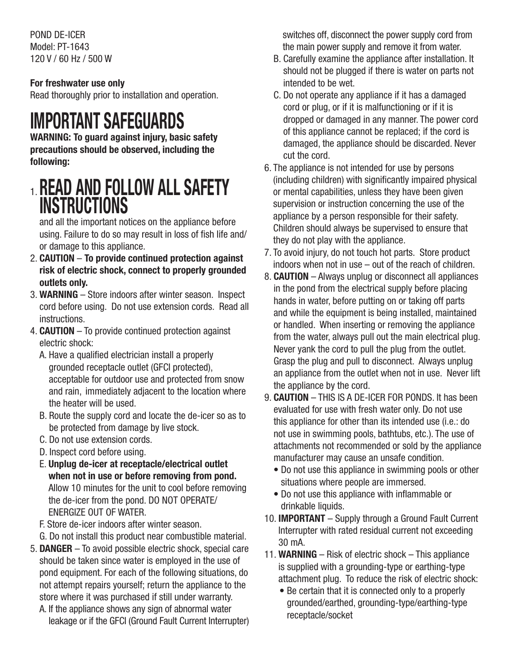POND DE-ICER Model: PT-1643 120 V / 60 Hz / 500 W

### **For freshwater use only**

Read thoroughly prior to installation and operation.

## **IMPORTANT SAFEGUARDS**

**WARNING: To guard against injury, basic safety precautions should be observed, including the following:**

## 1. **READ AND FOLLOW ALL SAFETY INSTRUCTIONS**

 and all the important notices on the appliance before using. Failure to do so may result in loss of fish life and/ or damage to this appliance.

- 2. **CAUTION To provide continued protection against risk of electric shock, connect to properly grounded outlets only.**
- 3. **WARNING** Store indoors after winter season. Inspect cord before using. Do not use extension cords. Read all instructions.
- 4. **CAUTION** To provide continued protection against electric shock:
	- A. Have a qualified electrician install a properly grounded receptacle outlet (GFCI protected), acceptable for outdoor use and protected from snow and rain, immediately adjacent to the location where the heater will be used.
	- B. Route the supply cord and locate the de-icer so as to be protected from damage by live stock.
	- C. Do not use extension cords.
	- D. Inspect cord before using.
	- E. **Unplug de-icer at receptacle/electrical outlet when not in use or before removing from pond.** Allow 10 minutes for the unit to cool before removing the de-icer from the pond. DO NOT OPERATE/ ENERGIZE OUT OF WATER.
	- F. Store de-icer indoors after winter season.
	- G. Do not install this product near combustible material.
- 5. **DANGER** To avoid possible electric shock, special care should be taken since water is employed in the use of pond equipment. For each of the following situations, do not attempt repairs yourself; return the appliance to the store where it was purchased if still under warranty.
	- A. If the appliance shows any sign of abnormal water leakage or if the GFCI (Ground Fault Current Interrupter)

switches off, disconnect the power supply cord from the main power supply and remove it from water.

- B. Carefully examine the appliance after installation. It should not be plugged if there is water on parts not intended to be wet.
- C. Do not operate any appliance if it has a damaged cord or plug, or if it is malfunctioning or if it is dropped or damaged in any manner. The power cord of this appliance cannot be replaced; if the cord is damaged, the appliance should be discarded. Never cut the cord.
- 6. The appliance is not intended for use by persons (including children) with significantly impaired physical or mental capabilities, unless they have been given supervision or instruction concerning the use of the appliance by a person responsible for their safety. Children should always be supervised to ensure that they do not play with the appliance.
- 7. To avoid injury, do not touch hot parts. Store product indoors when not in use – out of the reach of children.
- 8. **CAUTION** Always unplug or disconnect all appliances in the pond from the electrical supply before placing hands in water, before putting on or taking off parts and while the equipment is being installed, maintained or handled. When inserting or removing the appliance from the water, always pull out the main electrical plug. Never yank the cord to pull the plug from the outlet. Grasp the plug and pull to disconnect. Always unplug an appliance from the outlet when not in use. Never lift the appliance by the cord.
- 9. **CAUTION** THIS IS A DE-ICER FOR PONDS. It has been evaluated for use with fresh water only. Do not use this appliance for other than its intended use (i.e.: do not use in swimming pools, bathtubs, etc.). The use of attachments not recommended or sold by the appliance manufacturer may cause an unsafe condition.
	- Do not use this appliance in swimming pools or other situations where people are immersed.
	- Do not use this appliance with inflammable or drinkable liquids.
- 10. **IMPORTANT** Supply through a Ground Fault Current Interrupter with rated residual current not exceeding 30 mA.
- 11. **WARNING** Risk of electric shock This appliance is supplied with a grounding-type or earthing-type attachment plug. To reduce the risk of electric shock:
	- Be certain that it is connected only to a properly grounded/earthed, grounding-type/earthing-type receptacle/socket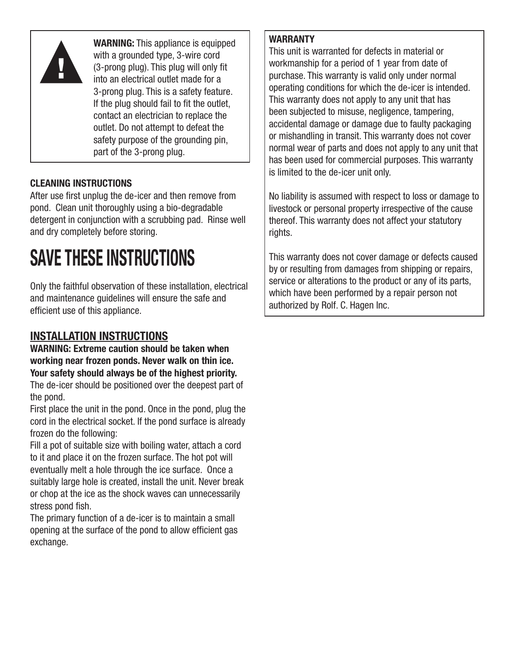

**WARNING:** This appliance is equipped with a grounded type, 3-wire cord (3-prong plug). This plug will only fit into an electrical outlet made for a 3-prong plug. This is a safety feature. If the plug should fail to fit the outlet. contact an electrician to replace the outlet. Do not attempt to defeat the safety purpose of the grounding pin, part of the 3-prong plug.

## **CLEANING INSTRUCTIONS**

After use first unplug the de-icer and then remove from pond. Clean unit thoroughly using a bio-degradable detergent in conjunction with a scrubbing pad. Rinse well and dry completely before storing.

# **SAVE THESE INSTRUCTIONS**

Only the faithful observation of these installation, electrical and maintenance guidelines will ensure the safe and efficient use of this appliance.

## **INSTALLATION INSTRUCTIONS**

**WARNING: Extreme caution should be taken when working near frozen ponds. Never walk on thin ice. Your safety should always be of the highest priority.**

The de-icer should be positioned over the deepest part of the pond.

First place the unit in the pond. Once in the pond, plug the cord in the electrical socket. If the pond surface is already frozen do the following:

Fill a pot of suitable size with boiling water, attach a cord to it and place it on the frozen surface. The hot pot will eventually melt a hole through the ice surface. Once a suitably large hole is created, install the unit. Never break or chop at the ice as the shock waves can unnecessarily stress pond fish.

The primary function of a de-icer is to maintain a small opening at the surface of the pond to allow efficient gas exchange.

### **WARRANTY**

This unit is warranted for defects in material or workmanship for a period of 1 year from date of purchase. This warranty is valid only under normal operating conditions for which the de-icer is intended. This warranty does not apply to any unit that has been subjected to misuse, negligence, tampering, accidental damage or damage due to faulty packaging or mishandling in transit. This warranty does not cover normal wear of parts and does not apply to any unit that has been used for commercial purposes. This warranty is limited to the de-icer unit only.

No liability is assumed with respect to loss or damage to livestock or personal property irrespective of the cause thereof. This warranty does not affect your statutory rights.

This warranty does not cover damage or defects caused by or resulting from damages from shipping or repairs, service or alterations to the product or any of its parts, which have been performed by a repair person not authorized by Rolf. C. Hagen Inc.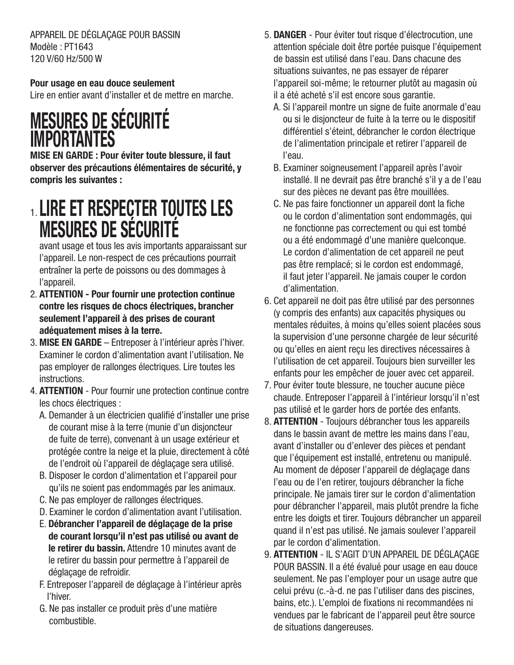APPAREIL DE DÉGLAÇAGE POUR BASSIN Modèle : PT1643 120 V/60 Hz/500 W

### **Pour usage en eau douce seulement**

Lire en entier avant d'installer et de mettre en marche.

## **MESURES DE SÉCURITÉ IMPORTANTES**

**MISE EN GARDE : Pour éviter toute blessure, il faut observer des précautions élémentaires de sécurité, y compris les suivantes :**

## 1. **LIRE ET RESPECTER TOUTES LES MESURES DE SÉCURITÉ**

 avant usage et tous les avis importants apparaissant sur l'appareil. Le non-respect de ces précautions pourrait entraîner la perte de poissons ou des dommages à l'appareil.

- 2. **ATTENTION Pour fournir une protection continue contre les risques de chocs électriques, brancher seulement l'appareil à des prises de courant adéquatement mises à la terre.**
- 3. **MISE EN GARDE** Entreposer à l'intérieur après l'hiver. Examiner le cordon d'alimentation avant l'utilisation. Ne pas employer de rallonges électriques. Lire toutes les instructions.
- 4. **ATTENTION** Pour fournir une protection continue contre les chocs électriques :
	- A. Demander à un électricien qualifié d'installer une prise de courant mise à la terre (munie d'un disjoncteur de fuite de terre), convenant à un usage extérieur et protégée contre la neige et la pluie, directement à côté de l'endroit où l'appareil de déglaçage sera utilisé.
	- B. Disposer le cordon d'alimentation et l'appareil pour qu'ils ne soient pas endommagés par les animaux.
	- C. Ne pas employer de rallonges électriques.
	- D. Examiner le cordon d'alimentation avant l'utilisation.
	- E. **Débrancher l'appareil de déglaçage de la prise de courant lorsqu'il n'est pas utilisé ou avant de le retirer du bassin.** Attendre 10 minutes avant de le retirer du bassin pour permettre à l'appareil de déglaçage de refroidir.
	- F. Entreposer l'appareil de déglaçage à l'intérieur après l'hiver.
	- G. Ne pas installer ce produit près d'une matière combustible.
- 5. **DANGER** Pour éviter tout risque d'électrocution, une attention spéciale doit être portée puisque l'équipement de bassin est utilisé dans l'eau. Dans chacune des situations suivantes, ne pas essayer de réparer l'appareil soi-même; le retourner plutôt au magasin où il a été acheté s'il est encore sous garantie.
	- A. Si l'appareil montre un signe de fuite anormale d'eau ou si le disjoncteur de fuite à la terre ou le dispositif différentiel s'éteint, débrancher le cordon électrique de l'alimentation principale et retirer l'appareil de l'eau.
	- B. Examiner soigneusement l'appareil après l'avoir installé. Il ne devrait pas être branché s'il y a de l'eau sur des pièces ne devant pas être mouillées.
	- C. Ne pas faire fonctionner un appareil dont la fiche ou le cordon d'alimentation sont endommagés, qui ne fonctionne pas correctement ou qui est tombé ou a été endommagé d'une manière quelconque. Le cordon d'alimentation de cet appareil ne peut pas être remplacé; si le cordon est endommagé, il faut jeter l'appareil. Ne jamais couper le cordon d'alimentation.
- 6. Cet appareil ne doit pas être utilisé par des personnes (y compris des enfants) aux capacités physiques ou mentales réduites, à moins qu'elles soient placées sous la supervision d'une personne chargée de leur sécurité ou qu'elles en aient reçu les directives nécessaires à l'utilisation de cet appareil. Toujours bien surveiller les enfants pour les empêcher de jouer avec cet appareil.
- 7. Pour éviter toute blessure, ne toucher aucune pièce chaude. Entreposer l'appareil à l'intérieur lorsqu'il n'est pas utilisé et le garder hors de portée des enfants.
- 8. **ATTENTION** Toujours débrancher tous les appareils dans le bassin avant de mettre les mains dans l'eau, avant d'installer ou d'enlever des pièces et pendant que l'équipement est installé, entretenu ou manipulé. Au moment de déposer l'appareil de déglaçage dans l'eau ou de l'en retirer, toujours débrancher la fiche principale. Ne jamais tirer sur le cordon d'alimentation pour débrancher l'appareil, mais plutôt prendre la fiche entre les doigts et tirer. Toujours débrancher un appareil quand il n'est pas utilisé. Ne jamais soulever l'appareil par le cordon d'alimentation.
- 9. **ATTENTION** IL S'AGIT D'UN APPAREIL DE DÉGLAÇAGE POUR BASSIN. Il a été évalué pour usage en eau douce seulement. Ne pas l'employer pour un usage autre que celui prévu (c.-à-d. ne pas l'utiliser dans des piscines, bains, etc.). L'emploi de fixations ni recommandées ni vendues par le fabricant de l'appareil peut être source de situations dangereuses.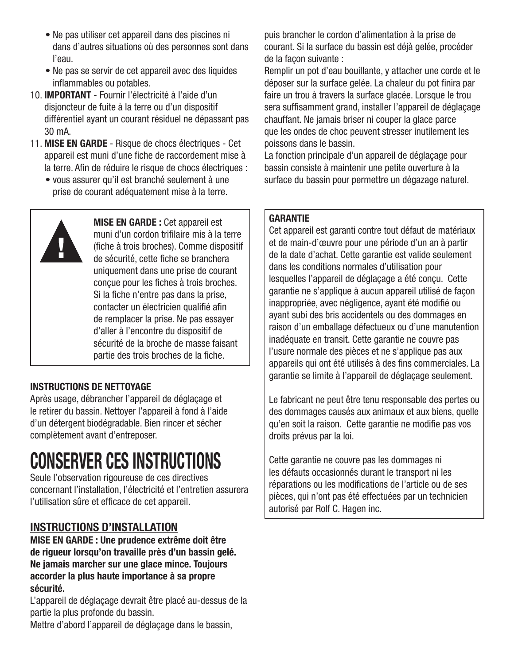- Ne pas utiliser cet appareil dans des piscines ni dans d'autres situations où des personnes sont dans l'eau.
- Ne pas se servir de cet appareil avec des liquides inflammables ou potables.
- 10. **IMPORTANT** Fournir l'électricité à l'aide d'un disjoncteur de fuite à la terre ou d'un dispositif différentiel ayant un courant résiduel ne dépassant pas 30 mA.
- 11. **MISE EN GARDE** Risque de chocs électriques Cet appareil est muni d'une fiche de raccordement mise à la terre. Afin de réduire le risque de chocs électriques :
	- vous assurer qu'il est branché seulement à une prise de courant adéquatement mise à la terre.



**MISE EN GARDE :** Cet appareil est muni d'un cordon trifilaire mis à la terre (fiche à trois broches). Comme dispositif de sécurité, cette fiche se branchera uniquement dans une prise de courant conçue pour les fiches à trois broches. Si la fiche n'entre pas dans la prise, contacter un électricien qualifié afin de remplacer la prise. Ne pas essayer d'aller à l'encontre du dispositif de sécurité de la broche de masse faisant partie des trois broches de la fiche.

### **INSTRUCTIONS DE NETTOYAGE**

Après usage, débrancher l'appareil de déglaçage et le retirer du bassin. Nettoyer l'appareil à fond à l'aide d'un détergent biodégradable. Bien rincer et sécher complètement avant d'entreposer.

## **CONSERVER CES INSTRUCTIONS**

Seule l'observation rigoureuse de ces directives concernant l'installation, l'électricité et l'entretien assurera l'utilisation sûre et efficace de cet appareil.

## **INSTRUCTIONS D'INSTALLATION**

**MISE EN GARDE : Une prudence extrême doit être de rigueur lorsqu'on travaille près d'un bassin gelé. Ne jamais marcher sur une glace mince. Toujours accorder la plus haute importance à sa propre sécurité.**

L'appareil de déglaçage devrait être placé au-dessus de la partie la plus profonde du bassin.

Mettre d'abord l'appareil de déglaçage dans le bassin,

puis brancher le cordon d'alimentation à la prise de courant. Si la surface du bassin est déjà gelée, procéder de la façon suivante :

Remplir un pot d'eau bouillante, y attacher une corde et le déposer sur la surface gelée. La chaleur du pot finira par faire un trou à travers la surface glacée. Lorsque le trou sera suffisamment grand, installer l'appareil de déglaçage chauffant. Ne jamais briser ni couper la glace parce que les ondes de choc peuvent stresser inutilement les poissons dans le bassin.

La fonction principale d'un appareil de déglaçage pour bassin consiste à maintenir une petite ouverture à la surface du bassin pour permettre un dégazage naturel.

### **GARANTIE**

Cet appareil est garanti contre tout défaut de matériaux et de main-d'œuvre pour une période d'un an à partir de la date d'achat. Cette garantie est valide seulement dans les conditions normales d'utilisation pour lesquelles l'appareil de déglaçage a été conçu. Cette garantie ne s'applique à aucun appareil utilisé de façon inappropriée, avec négligence, ayant été modifié ou ayant subi des bris accidentels ou des dommages en raison d'un emballage défectueux ou d'une manutention inadéquate en transit. Cette garantie ne couvre pas l'usure normale des pièces et ne s'applique pas aux appareils qui ont été utilisés à des fins commerciales. La garantie se limite à l'appareil de déglaçage seulement.

Le fabricant ne peut être tenu responsable des pertes ou des dommages causés aux animaux et aux biens, quelle qu'en soit la raison. Cette garantie ne modifie pas vos droits prévus par la loi.

Cette garantie ne couvre pas les dommages ni les défauts occasionnés durant le transport ni les réparations ou les modifications de l'article ou de ses pièces, qui n'ont pas été effectuées par un technicien autorisé par Rolf C. Hagen inc.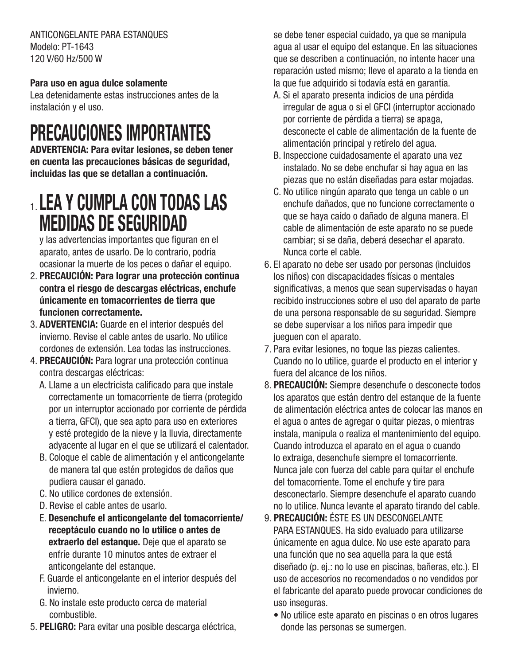ANTICONGELANTE PARA ESTANQUES Modelo: PT-1643 120 V/60 Hz/500 W

### **Para uso en agua dulce solamente**

Lea detenidamente estas instrucciones antes de la instalación y el uso.

## **PRECAUCIONES IMPORTANTES**

**ADVERTENCIA: Para evitar lesiones, se deben tener en cuenta las precauciones básicas de seguridad, incluidas las que se detallan a continuación.**

## 1. **LEA Y CUMPLA CON TODAS LAS MEDIDAS DE SEGURIDAD**

y las advertencias importantes que figuran en el aparato, antes de usarlo. De lo contrario, podría ocasionar la muerte de los peces o dañar el equipo.

- 2. **PRECAUCIÓN: Para lograr una protección continua contra el riesgo de descargas eléctricas, enchufe únicamente en tomacorrientes de tierra que funcionen correctamente.**
- 3. **ADVERTENCIA:** Guarde en el interior después del invierno. Revise el cable antes de usarlo. No utilice cordones de extensión. Lea todas las instrucciones.
- 4. **PRECAUCIÓN:** Para lograr una protección continua contra descargas eléctricas:
	- A. Llame a un electricista calificado para que instale correctamente un tomacorriente de tierra (protegido por un interruptor accionado por corriente de pérdida a tierra, GFCI), que sea apto para uso en exteriores y esté protegido de la nieve y la lluvia, directamente adyacente al lugar en el que se utilizará el calentador.
	- B. Coloque el cable de alimentación y el anticongelante de manera tal que estén protegidos de daños que pudiera causar el ganado.
	- C. No utilice cordones de extensión.
	- D. Revise el cable antes de usarlo.
	- E. **Desenchufe el anticongelante del tomacorriente/ receptáculo cuando no lo utilice o antes de extraerlo del estanque.** Deje que el aparato se enfríe durante 10 minutos antes de extraer el anticongelante del estanque.
	- F. Guarde el anticongelante en el interior después del invierno.
	- G. No instale este producto cerca de material combustible.
- 5. **PELIGRO:** Para evitar una posible descarga eléctrica,

se debe tener especial cuidado, ya que se manipula agua al usar el equipo del estanque. En las situaciones que se describen a continuación, no intente hacer una reparación usted mismo; lleve el aparato a la tienda en la que fue adquirido si todavía está en garantía.

- A. Si el aparato presenta indicios de una pérdida irregular de agua o si el GFCI (interruptor accionado por corriente de pérdida a tierra) se apaga, desconecte el cable de alimentación de la fuente de alimentación principal y retírelo del agua.
- B. Inspeccione cuidadosamente el aparato una vez instalado. No se debe enchufar si hay agua en las piezas que no están diseñadas para estar mojadas.
- C. No utilice ningún aparato que tenga un cable o un enchufe dañados, que no funcione correctamente o que se haya caído o dañado de alguna manera. El cable de alimentación de este aparato no se puede cambiar; si se daña, deberá desechar el aparato. Nunca corte el cable.
- 6. El aparato no debe ser usado por personas (incluidos los niños) con discapacidades físicas o mentales significativas, a menos que sean supervisadas o hayan recibido instrucciones sobre el uso del aparato de parte de una persona responsable de su seguridad. Siempre se debe supervisar a los niños para impedir que jueguen con el aparato.
- 7. Para evitar lesiones, no toque las piezas calientes. Cuando no lo utilice, guarde el producto en el interior y fuera del alcance de los niños.
- 8. **PRECAUCIÓN:** Siempre desenchufe o desconecte todos los aparatos que están dentro del estanque de la fuente de alimentación eléctrica antes de colocar las manos en el agua o antes de agregar o quitar piezas, o mientras instala, manipula o realiza el mantenimiento del equipo. Cuando introduzca el aparato en el agua o cuando lo extraiga, desenchufe siempre el tomacorriente. Nunca jale con fuerza del cable para quitar el enchufe del tomacorriente. Tome el enchufe y tire para desconectarlo. Siempre desenchufe el aparato cuando no lo utilice. Nunca levante el aparato tirando del cable.
- 9. **PRECAUCIÓN:** ÉSTE ES UN DESCONGELANTE PARA ESTANQUES. Ha sido evaluado para utilizarse únicamente en agua dulce. No use este aparato para una función que no sea aquella para la que está diseñado (p. ej.: no lo use en piscinas, bañeras, etc.). El uso de accesorios no recomendados o no vendidos por el fabricante del aparato puede provocar condiciones de uso inseguras.
	- No utilice este aparato en piscinas o en otros lugares donde las personas se sumergen.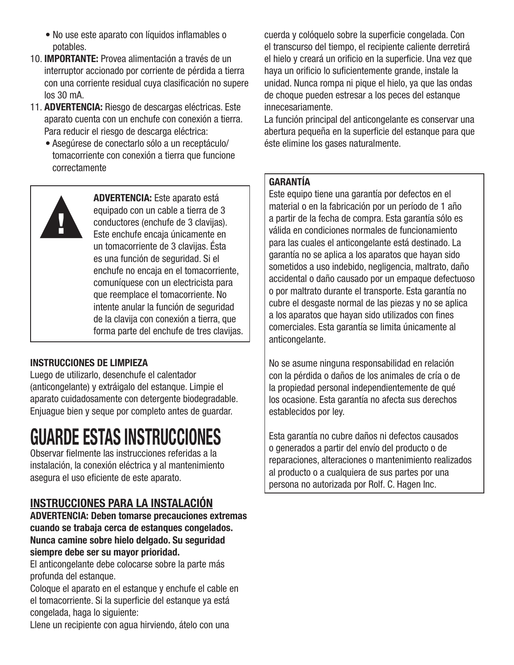- No use este aparato con líquidos inflamables o potables.
- 10. **IMPORTANTE:** Provea alimentación a través de un interruptor accionado por corriente de pérdida a tierra con una corriente residual cuya clasificación no supere los 30 mA.
- 11. **ADVERTENCIA:** Riesgo de descargas eléctricas. Este aparato cuenta con un enchufe con conexión a tierra. Para reducir el riesgo de descarga eléctrica:
	- Asegúrese de conectarlo sólo a un receptáculo/ tomacorriente con conexión a tierra que funcione correctamente



**ADVERTENCIA:** Este aparato está equipado con un cable a tierra de 3 conductores (enchufe de 3 clavijas). Este enchufe encaja únicamente en un tomacorriente de 3 clavijas. Ésta es una función de seguridad. Si el enchufe no encaja en el tomacorriente, comuníquese con un electricista para que reemplace el tomacorriente. No intente anular la función de seguridad de la clavija con conexión a tierra, que forma parte del enchufe de tres clavijas.

### **INSTRUCCIONES DE LIMPIEZA**

Luego de utilizarlo, desenchufe el calentador (anticongelante) y extráigalo del estanque. Limpie el aparato cuidadosamente con detergente biodegradable. Enjuague bien y seque por completo antes de guardar.

## **GUARDE ESTAS INSTRUCCIONES**

Observar fielmente las instrucciones referidas a la instalación, la conexión eléctrica y al mantenimiento asegura el uso eficiente de este aparato.

## **INSTRUCCIONES PARA LA INSTALACIÓN**

**ADVERTENCIA: Deben tomarse precauciones extremas cuando se trabaja cerca de estanques congelados. Nunca camine sobre hielo delgado. Su seguridad siempre debe ser su mayor prioridad.**

El anticongelante debe colocarse sobre la parte más profunda del estanque.

Coloque el aparato en el estanque y enchufe el cable en el tomacorriente. Si la superficie del estanque ya está congelada, haga lo siguiente:

Llene un recipiente con agua hirviendo, átelo con una

cuerda y colóquelo sobre la superficie congelada. Con el transcurso del tiempo, el recipiente caliente derretirá el hielo y creará un orificio en la superficie. Una vez que haya un orificio lo suficientemente grande, instale la unidad. Nunca rompa ni pique el hielo, ya que las ondas de choque pueden estresar a los peces del estanque innecesariamente.

La función principal del anticongelante es conservar una abertura pequeña en la superficie del estanque para que éste elimine los gases naturalmente.

### **GARANTÍA**

Este equipo tiene una garantía por defectos en el material o en la fabricación por un período de 1 año a partir de la fecha de compra. Esta garantía sólo es válida en condiciones normales de funcionamiento para las cuales el anticongelante está destinado. La garantía no se aplica a los aparatos que hayan sido sometidos a uso indebido, negligencia, maltrato, daño accidental o daño causado por un empaque defectuoso o por maltrato durante el transporte. Esta garantía no cubre el desgaste normal de las piezas y no se aplica a los aparatos que hayan sido utilizados con fines comerciales. Esta garantía se limita únicamente al anticongelante.

No se asume ninguna responsabilidad en relación con la pérdida o daños de los animales de cría o de la propiedad personal independientemente de qué los ocasione. Esta garantía no afecta sus derechos establecidos por ley.

Esta garantía no cubre daños ni defectos causados o generados a partir del envío del producto o de reparaciones, alteraciones o mantenimiento realizados al producto o a cualquiera de sus partes por una persona no autorizada por Rolf. C. Hagen Inc.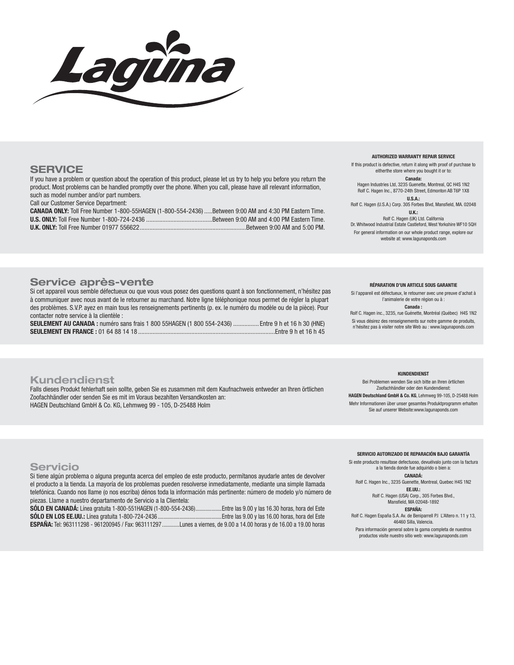

#### **SERVICE**

If you have a problem or question about the operation of this product, please let us try to help you before you return the product. Most problems can be handled promptly over the phone. When you call, please have all relevant information, such as model number and/or part numbers.

Call our Customer Service Department:

**CANADA ONLY:** Toll Free Number 1-800-55HAGEN (1-800-554-2436) .....Between 9:00 AM and 4:30 PM Eastern Time. **U.S. ONLY:** Toll Free Number 1-800-724-2436 .........................................Between 9:00 AM and 4:00 PM Eastern Time. **U.K. ONLY:** Toll Free Number 01977 556622 ..................................................................Between 9:00 AM and 5:00 PM.

#### **AUTHORIZED WARRANTY REPAIR SERVICE**

If this product is defective, return it along with proof of purchase to eitherthe store where you bought it or to: **Canada:**

Hagen Industries Ltd, 3235 Guenette, Montreal, QC H4S 1N2 Rolf C. Hagen Inc., 8770-24th Street, Edmonton AB T6P 1X8 **U.S.A.:**

Rolf C. Hagen (U.S.A.) Corp. 305 Forbes Blvd, Mansfield, MA. 02048 **U.K.:**

Rolf C. Hagen (UK) Ltd. California

Dr. Whitwood Industrial Estate Castleford, West Yorkshire WF10 5QH For general information on our whole product range, explore our website at: www.lagunaponds.com

#### **Service après-vente**

Si cet appareil vous semble défectueux ou que vous vous posez des questions quant à son fonctionnement, n'hésitez pas à communiquer avec nous avant de le retourner au marchand. Notre ligne téléphonique nous permet de régler la plupart des problèmes. S.V.P. ayez en main tous les renseignements pertinents (p. ex. le numéro du modèle ou de la pièce). Pour contacter notre service à la clientèle :

**SEULEMENT AU CANADA :** numéro sans frais 1 800 55HAGEN (1 800 554-2436) ................ Entre 9 h et 16 h 30 (HNE) **SEULEMENT EN FRANCE :** 01 64 88 14 18 .....................................................................................Entre 9 h et 16 h 45

#### **RÉPARATION D'UN ARTICLE SOUS GARANTIE**

Si l'appareil est défectueux, le retourner avec une preuve d'achat à l'animalerie de votre région ou à :

#### **Canada :**

Rolf C. Hagen inc., 3235, rue Guénette, Montréal (Québec) H4S 1N2 Si vous désirez des renseignements sur notre gamme de produits, n'hésitez pas à visiter notre site Web au : www.lagunaponds.com

#### **Kundendienst**

Falls dieses Produkt fehlerhaft sein sollte, geben Sie es zusammen mit dem Kaufnachweis entweder an Ihren örtlichen Zoofachhändler oder senden Sie es mit im Voraus bezahlten Versandkosten an: HAGEN Deutschland GmbH & Co. KG, Lehmweg 99 - 105, D-25488 Holm

**KUNDENDIENST**

Bei Problemen wenden Sie sich bitte an Ihren örtlichen Zoofachhändler oder den Kundendienst:

**HAGEN Deutschland GmbH & Co. KG**, Lehmweg 99-105, D-25488 Holm Mehr Informationen über unser gesamtes Produktprogramm erhalten Sie auf unserer Website:www.lagunaponds.com

#### **Servicio**

Si tiene algún problema o alguna pregunta acerca del empleo de este producto, permítanos ayudarle antes de devolver el producto a la tienda. La mayoría de los problemas pueden resolverse inmediatamente, mediante una simple llamada telefónica. Cuando nos llame (o nos escriba) dénos toda la información más pertinente: número de modelo y/o número de piezas. Llame a nuestro departamento de Servicio a la Clientela:

**SÓLO EN CANADÁ:** Línea gratuita 1-800-551HAGEN (1-800-554-2436) ..................Entre las 9.00 y las 16.30 horas, hora del Este **SÓLO EN LOS EE.UU.:** Línea gratuita 1-800-724-2436 ............................................Entre las 9.00 y las 16.00 horas, hora del Este **ESPAÑA:** Tel: 963111298 - 961200945 / Fax: 963111297 ............Lunes a viernes, de 9.00 a 14.00 horas y de 16.00 a 19.00 horas

**SERVICIO AUTORIZADO DE REPARACIÓN BAJO GARANTÍA**

Si este producto resultase defectuoso, devuélvalo junto con la factura a la tienda donde fue adquirido o bien a:

**CANADÁ:** Rolf C. Hagen Inc., 3235 Guenette, Montreal, Quebec H4S 1N2

> **EE.UU.:** Rolf C. Hagen (USA) Corp., 305 Forbes Blvd., Mansfield, MA 02048-1892

**ESPAÑA:** Rolf C. Hagen España S.A. Av. de Beniparrell P.I L'Altero n. 11 y 13,

46460 Silla, Valencia. Para información general sobre la gama completa de nuestros

productos visite nuestro sitio web: www.lagunaponds.com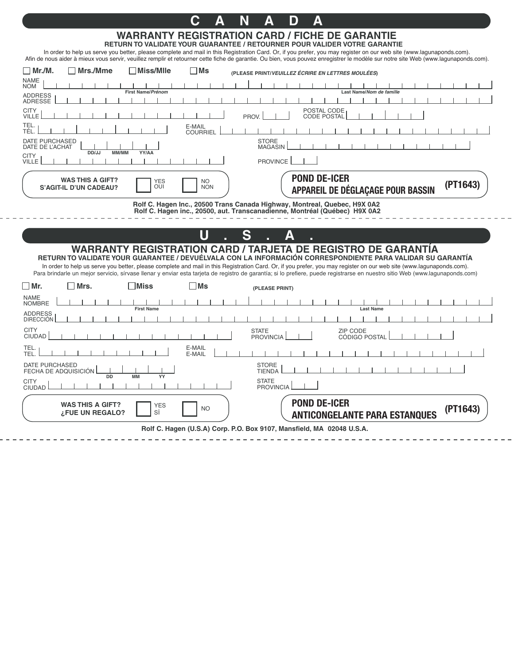## **C A N A D A**

#### **WARRANTY REGISTRATION CARD / FICHE DE GARANTIE RETURN TO VALIDATE YOUR GUARANTEE / RETOURNER POUR VALIDER VOTRE GARANTIE**

In order to help us serve you better, please complete and mail in this Registration Card. Or, if you prefer, you may register on our web site (www.lagunaponds.com). Afin de nous aider à mieux vous servir, veuillez remplir et retourner cette fiche de garantie. Ou bien, vous pouvez enregistrer le modèle sur notre site Web (www.lagunaponds.com).

| <b>NAME</b><br><b>NOM</b>                                                                                                                                                         |
|-----------------------------------------------------------------------------------------------------------------------------------------------------------------------------------|
|                                                                                                                                                                                   |
| First Name/Prénom<br>Last Name/Nom de famille<br><b>ADDRESS</b><br><b>ADRESSE</b>                                                                                                 |
| <b>CITY</b><br>POSTAL CODE                                                                                                                                                        |
| PROV.<br><b>VILLE</b><br><b>CODE POSTAL</b>                                                                                                                                       |
| TEL.<br>E-MAIL<br>TÉL.<br><b>COURRIEL</b>                                                                                                                                         |
| DATE PURCHASED<br><b>STORE</b><br><b>MAGASIN</b><br>DATE DE L'ACHAT                                                                                                               |
| DD/JJ<br>MM/MM<br>YY/AA<br><b>CITY</b>                                                                                                                                            |
| VILLE<br><b>PROVINCE</b>                                                                                                                                                          |
| <b>POND DE-ICER</b><br><b>WAS THIS A GIFT?</b><br><b>YES</b><br>NO.<br>(PT1643)<br><b>OUI</b><br><b>NON</b><br><b>S'AGIT-IL D'UN CADEAU?</b><br>APPAREIL DE DÉGLAÇAGE POUR BASSIN |
| Rolf C. Hagen Inc., 20500 Trans Canada Highway, Montreal, Quebec, H9X 0A2                                                                                                         |
| Rolf C. Hagen inc., 20500, aut. Transcanadienne, Montréal (Québec) H9X 0A2                                                                                                        |
| U                                                                                                                                                                                 |
| S                                                                                                                                                                                 |
| <b>WARRANTY REGISTRATION CARD / TARJETA DE REGISTRO DE GARANTIA</b><br>RETURN TO VALIDATE YOUR GUARANTEE / DEVUÉLVALA CON LA INFORMACIÓN CORRESPONDIENTE PARA VALIDAR SU GARANTÍA |
| In order to help us serve you better, please complete and mail in this Registration Card. Or, if you prefer, you may register on our web site (www.lagunaponds.com).              |
| Para brindarle un mejor servicio, sírvase llenar y enviar esta tarjeta de registro de garantía; si lo prefiere, puede registrarse en nuestro sitio Web (www.lagunaponds.com)      |
| $\Box$ Mr.<br>$\sqcap$ Mrs.<br>l Miss<br>$\square$ Ms<br>(PLEASE PRINT)                                                                                                           |
| <b>NAME</b><br><b>NOMBRE</b><br><b>First Name</b><br><b>Last Name</b>                                                                                                             |
| <b>ADDRESS</b><br><b>DIRECCIÓN</b>                                                                                                                                                |
| <b>CITY</b><br>ZIP CODE<br><b>STATE</b>                                                                                                                                           |
| <b>CIUDAD</b><br><b>PROVINCIA</b><br>CÓDIGO POSTAL                                                                                                                                |
| TEL.<br>E-MAIL<br>TEL.<br>E-MAIL                                                                                                                                                  |
| <b>DATE PURCHASED</b><br><b>STORE</b><br>FECHA DE ADQUISICIÓN<br><b>TIENDA</b>                                                                                                    |
| <b>MM</b><br>DD<br>YY<br><b>CITY</b><br><b>STATE</b>                                                                                                                              |
| <b>PROVINCIA</b><br><b>CIUDAD</b>                                                                                                                                                 |
| <b>POND DE-ICER</b><br><b>WAS THIS A GIFT?</b><br><b>YES</b><br>(PT1643)<br><b>NO</b><br>SÍ<br>¿FUE UN REGALO?<br><b>ANTICONGELANTE PARA ESTANQUES</b>                            |
| Rolf C. Hagen (U.S.A) Corp. P.O. Box 9107, Mansfield, MA 02048 U.S.A.                                                                                                             |

 $-$